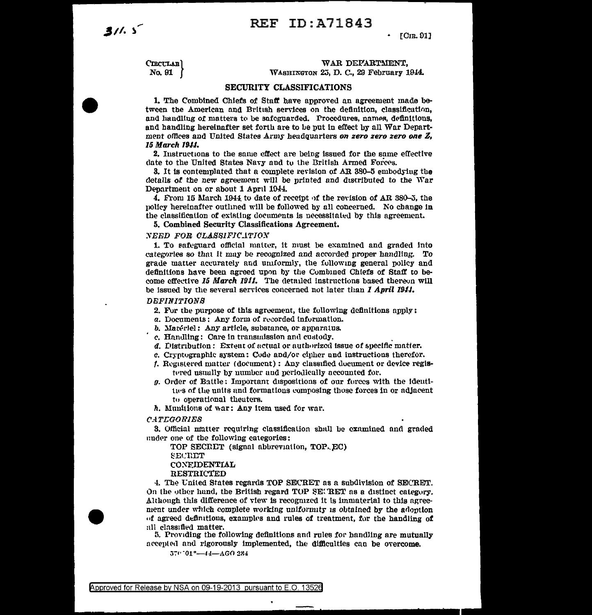$31.5$ 

## $\cdot$  [C<sub>IB</sub>, 91]

CIECULAR) No. 91

# WAR DEPARTMENT. WASHINGTON 25, D. C., 29 February 1944.

### **SECURITY CLASSIFICATIONS**

1. The Combined Chiefs of Staff have approved an agreement made between the American and British services on the definition, classification, and handling of matters to be safeguarded. Procedures, names, definitions, and handling hereinafter set forth are to be put in effect by all War Department offices and United States Army headquarters on zero zero zero one Z, 15 March 1944.

2. Instructions to the same effect are being issued for the same effective date to the United States Navy and to the British Armed Forces.

3. It is contemplated that a complete revision of AR 380-5 embodying the details of the new agreement will be printed and distributed to the War Department on or about 1 April 1944.

4. From 15 March 1944 to date of receipt of the revision of AR 380-5, the policy hereinafter outlined will be followed by all concerned. No change in the classification of existing documents is necessitated by this agreement.

5. Combined Security Classifications Agreement.

# NEED FOR CLASSIFICATION

1. To safeguard official matter, it must be examined and graded into categories so that it may be recognized and accorded proper handling. To grade matter accurately and uniformly, the following general policy and definitions have been agreed upon by the Combined Chiefs of Staff to become effective 15 March 1911. The detailed instructions based thereon will be issued by the several services concerned not later than I April 1944.

#### **DEFINITIONS**

- 2. For the purpose of this agreement, the following definitions apply:
- a. Documents: Any form of recorded information.
- b. Matériel: Any article, substance, or apparatus.
- c. Handling: Care in transmission and custody.
- d. Distribution: Extent of actual or authorized issue of specific matter.
- c. Cryptographic system: Code and/or cipher and instructions therefor.
- f. Registered matter (document): Any classified document or device registered usually by number and periodically accounted for.
- g. Order of Battle: Important dispositions of our forces with the identities of the units and formations composing those forces in or adjacent to operational theaters.
- h. Munitions of war: Any item used for war.

**CATEGORIES** 

3. Official matter requiring classification shall be examined and graded under one of the following categories:

TOP SECRET (signal abbreviation, TOP, EC) SECRET

# **CONFIDENTIAL**

**RESTRICTED** 

4. The United States regards TOP SECRET as a subdivision of SECRET. On the other hand, the British regard TOP SETRET as a distinct category. Although this difference of view is recognized it is immaterial to this agreement under which complete working uniformity is obtained by the adoption of agreed definitions, examples and rules of treatment, for the handling of all classified matter.

5. Providing the following definitions and rules for handling are mutually accepted and rigorously implemented, the difficulties can be overcome.

570.01°-44-AGO 284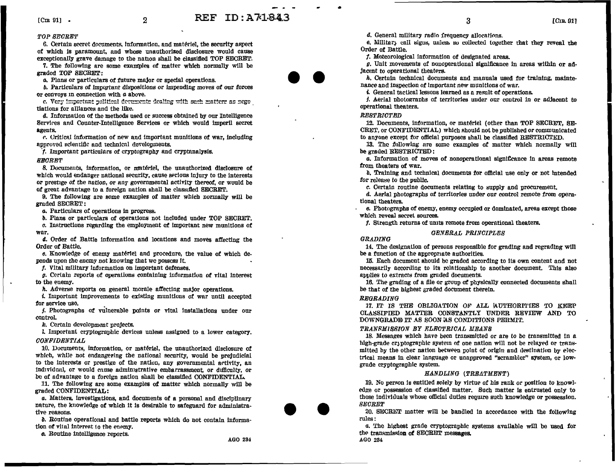# REF TD: A71.843

#### TOP SECRET

6. Certain secret documents, information, and matériel, the security aspect of which is paramount, and whose unauthorized disclosure would cause exceptionally grave damage to the nation shall be classified TOP SECRET.

 $\overline{2}$ 

7. The following are some examples of matter which normally will be graded TOP SECRET:

a. Plans or particulars of future major or special operations.

b. Particulars of important dispositions or impending moves of our forces or convoys in connection with  $a$  above.

c. Very important political decuments dealing with such matters as negotiations for alliances and the like.

 $d$ . Information of the methods used or success obtained by our Intelligence Services and Counter-Intelligence Services or which would imneril secret agents.

c. Critical information of new and important munitions of war, including approved scientific and technical developments.

f. Important particulars of cryptography and cryptanalysis.

#### **SECRET**

8. Documents, information, or matériel, the unauthorized disclosure of which would endanger national security, cause serious injury to the interests or prestige of the nation, or any governmental activity thereof, or would be of great advantage to a foreign nation shall be classified SECRET.

9. The following are some examples of matter which normally will be graded SECRET:

a. Particulars of operations in progress.

b. Plans or particulars of operations not included under TOP SECRET.

 $c$ . Instructions regarding the employment of important new munitions of war.

d. Order of Battle information and locations and moves affecting the Order of Battle.

e. Knowledge of enemy matériel and procedure, the value of which depends upon the enemy not knowing that we possess it.

f. Vital military information on important defenses.

g. Certain reports of operations containing information of vital interest to the enemy.

h. Adverse reports on general morale affecting major operations.

i. Important improvements to existing munitions of war until accepted for service use.

*j.* Photographs of vulnerable points or vital installations under our control.

k. Certain development projects.

I. Important cryptographic devices unless assigned to a lower category. **CONFIDENTIAL** 

10. Documents, information, or matériel, the unauthorized disclosure of which, while not endangering the national security, would be prejudicial to the interests or prestige of the nation, any governmental activity, an individual, or would cause administrative embarrassment, or difficulty, or be of advantage to a foreign nation shall be classified CONFIDENTIAL.

11. The following are some examples of matter which normally will be graded CONFIDENTIAL:

a. Matters, investigations, and documents of a personal and disciplinary nature, the knowledge of which it is desirable to safeguard for administrative reasons.

b. Routine operational and battle reports which do not contain information of vital interest to the enemy.

o. Routine intelligence reports.

d. General military radio frequency allocations.

6. Military call signs, unless so collected together that they reveal the Order of Battle.

 $\overline{\mathbf{3}}$ 

f. Meteorological information of designated areas.

g. Unit movements of nonoperational significance in areas within or adjacent to operational theaters.

 $h$ . Certain technical documents and manuals used for training, maintenance and inspection of important new munitions of war.

4. General tactical lessons learned as a result of operations.

*i*. Aerial photographs of territories under our control in or adjacent to operational theaters.

# **RESTRICTED**

12. Documents, information, or matériel (other than TOP SECRET, SE-CRET, or CONFIDENTIAL) which should not be published or communicated to anyone except for official purposes shall be classified RESTRICTED.

13. The following are some examples of matter which normally will be graded RESTRICTED:

a. Information of moves of nononerational significance in areas remote from theaters of war.

b. Training and technical documents for official use only or not intended for release to the public.

c. Certain routine documents relating to supply and procurement.

d. Aerial photographs of territories under our control remote from operational theaters.

e. Photographs of enemy, enemy occupied or dominated, areas except those which reveal secret sources.

f. Strength returns of units remote from operational theaters.

# **GRADING**

14. The designation of persons responsible for grading and regrading will be a function of the appropriate authorities.

**GENERAL PRINCIPLES** 

15. Each document should be graded according to its own content and not necessarily according to its relationship to another document. This also applies to extracts from graded documents.

16. The grading of a file or group of physically connected documents shall be that of the highest graded document therein.

#### **REGRADING**

17. IT IS THE OBLIGATION OF ALL AUTHORITIES TO KEEP CLASSIFIED MATTER CONSTANTLY UNDER REVIEW AND TO DOWNGRADE IT AS SOON AS CONDITIONS PERMIT.

### TRANSMISSION BY ELECTRICAL MEANS

18. Messages which have been transmitted or are to be transmitted in a high-grade cryptographic system of one nation will not be relayed or transmitted by the other nation between point of origin and destination by electrical means in clear language or unapproved "scrambler" system, or lowgrade cryptographic system.

# HANDLING (TREATMENT)

19. No person is entitled solely by virtue of his rank or position to knowledge or possession of classified matter. Such matter is entrusted only to those individuals whose official duties require such knowledge or nossession. **SECRET** 

20. SECRET matter will be handled in accordance with the following rules:

a. The highest grade cryptographic systems available will be used for the transmission of SECRET messages. AGO 234